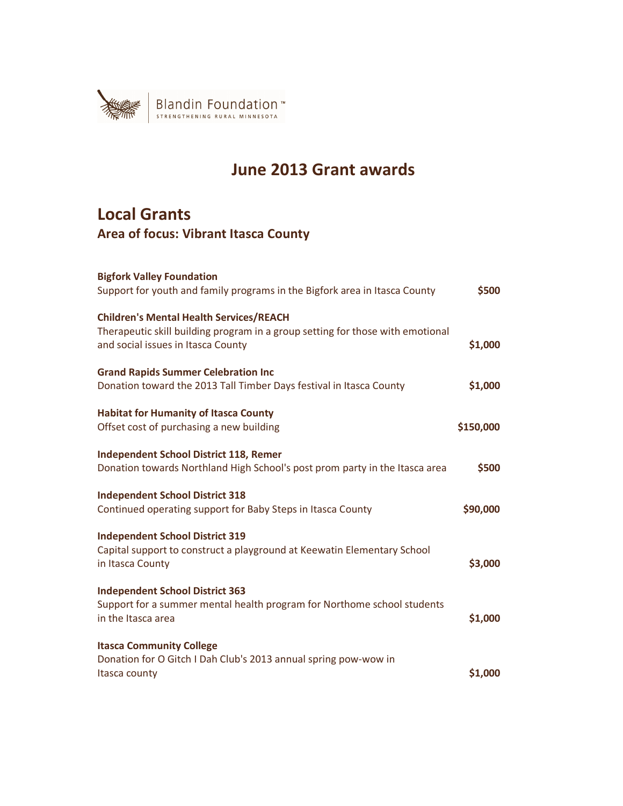

# **June 2013 Grant awards**

# **Local Grants**

### **Area of focus: Vibrant Itasca County**

| <b>Bigfork Valley Foundation</b>                                                 |           |
|----------------------------------------------------------------------------------|-----------|
| Support for youth and family programs in the Bigfork area in Itasca County       | \$500     |
| <b>Children's Mental Health Services/REACH</b>                                   |           |
| Therapeutic skill building program in a group setting for those with emotional   |           |
| and social issues in Itasca County                                               | \$1,000   |
| <b>Grand Rapids Summer Celebration Inc</b>                                       |           |
| Donation toward the 2013 Tall Timber Days festival in Itasca County              | \$1,000   |
| <b>Habitat for Humanity of Itasca County</b>                                     |           |
| Offset cost of purchasing a new building                                         | \$150,000 |
| <b>Independent School District 118, Remer</b>                                    |           |
| Donation towards Northland High School's post prom party in the Itasca area      | \$500     |
| <b>Independent School District 318</b>                                           |           |
| Continued operating support for Baby Steps in Itasca County                      | \$90,000  |
| <b>Independent School District 319</b>                                           |           |
| Capital support to construct a playground at Keewatin Elementary School          |           |
| in Itasca County                                                                 | \$3,000   |
| <b>Independent School District 363</b>                                           |           |
| Support for a summer mental health program for Northome school students          |           |
| in the Itasca area                                                               | \$1,000   |
| <b>Itasca Community College</b>                                                  |           |
| Donation for O Gitch I Dah Club's 2013 annual spring pow-wow in<br>Itasca county | \$1,000   |
|                                                                                  |           |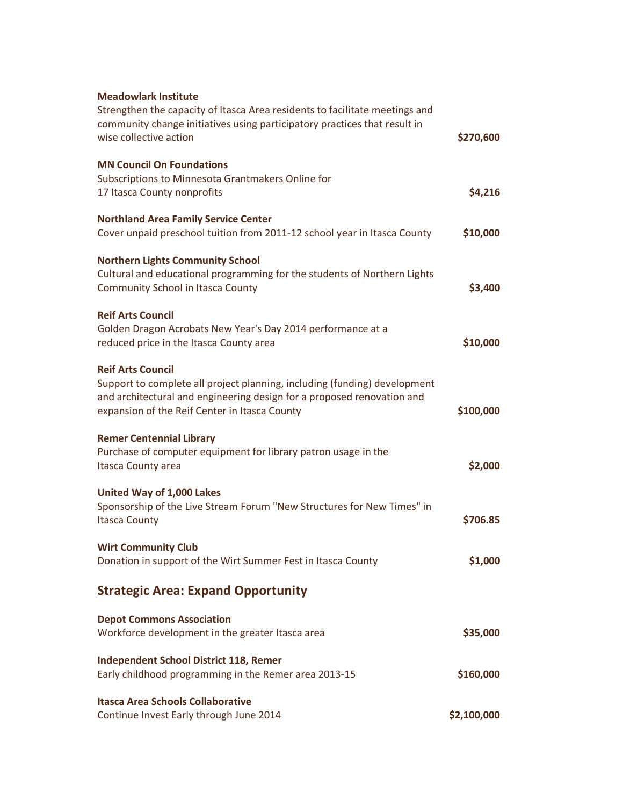| <b>Meadowlark Institute</b><br>Strengthen the capacity of Itasca Area residents to facilitate meetings and<br>community change initiatives using participatory practices that result in<br>wise collective action                | \$270,600   |
|----------------------------------------------------------------------------------------------------------------------------------------------------------------------------------------------------------------------------------|-------------|
| <b>MN Council On Foundations</b><br>Subscriptions to Minnesota Grantmakers Online for<br>17 Itasca County nonprofits                                                                                                             | \$4,216     |
| <b>Northland Area Family Service Center</b><br>Cover unpaid preschool tuition from 2011-12 school year in Itasca County                                                                                                          | \$10,000    |
| <b>Northern Lights Community School</b><br>Cultural and educational programming for the students of Northern Lights<br><b>Community School in Itasca County</b>                                                                  | \$3,400     |
| <b>Reif Arts Council</b><br>Golden Dragon Acrobats New Year's Day 2014 performance at a<br>reduced price in the Itasca County area                                                                                               | \$10,000    |
| <b>Reif Arts Council</b><br>Support to complete all project planning, including (funding) development<br>and architectural and engineering design for a proposed renovation and<br>expansion of the Reif Center in Itasca County | \$100,000   |
| <b>Remer Centennial Library</b><br>Purchase of computer equipment for library patron usage in the<br><b>Itasca County area</b>                                                                                                   | \$2,000     |
| United Way of 1,000 Lakes<br>Sponsorship of the Live Stream Forum "New Structures for New Times" in<br><b>Itasca County</b>                                                                                                      | \$706.85    |
| <b>Wirt Community Club</b><br>Donation in support of the Wirt Summer Fest in Itasca County                                                                                                                                       | \$1,000     |
| <b>Strategic Area: Expand Opportunity</b>                                                                                                                                                                                        |             |
| <b>Depot Commons Association</b><br>Workforce development in the greater Itasca area                                                                                                                                             | \$35,000    |
| <b>Independent School District 118, Remer</b><br>Early childhood programming in the Remer area 2013-15                                                                                                                           | \$160,000   |
| <b>Itasca Area Schools Collaborative</b><br>Continue Invest Early through June 2014                                                                                                                                              | \$2,100,000 |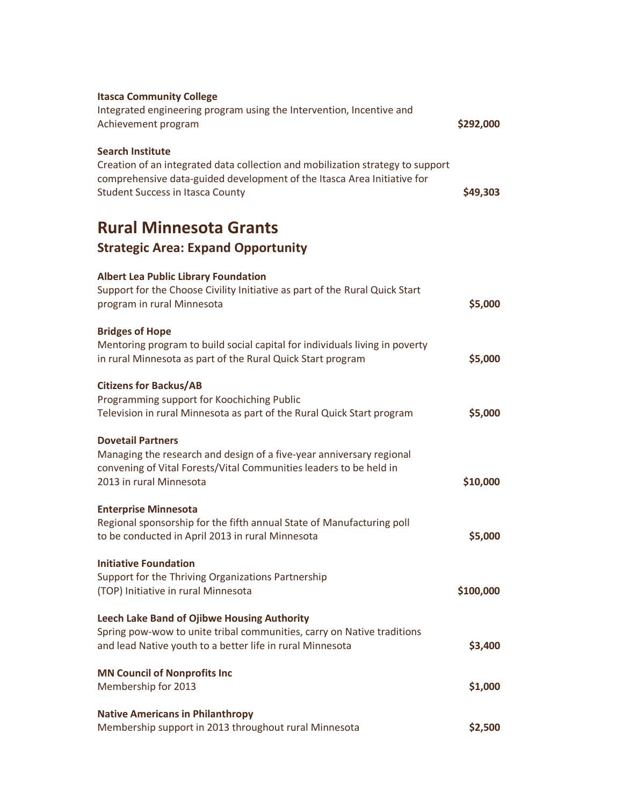| <b>Itasca Community College</b><br>Integrated engineering program using the Intervention, Incentive and<br>Achievement program                                                                                                  | \$292,000 |
|---------------------------------------------------------------------------------------------------------------------------------------------------------------------------------------------------------------------------------|-----------|
| <b>Search Institute</b><br>Creation of an integrated data collection and mobilization strategy to support<br>comprehensive data-guided development of the Itasca Area Initiative for<br><b>Student Success in Itasca County</b> | \$49,303  |
| <b>Rural Minnesota Grants</b><br><b>Strategic Area: Expand Opportunity</b>                                                                                                                                                      |           |
| <b>Albert Lea Public Library Foundation</b><br>Support for the Choose Civility Initiative as part of the Rural Quick Start<br>program in rural Minnesota                                                                        | \$5,000   |
| <b>Bridges of Hope</b><br>Mentoring program to build social capital for individuals living in poverty<br>in rural Minnesota as part of the Rural Quick Start program                                                            | \$5,000   |
| <b>Citizens for Backus/AB</b><br>Programming support for Koochiching Public<br>Television in rural Minnesota as part of the Rural Quick Start program                                                                           | \$5,000   |
| <b>Dovetail Partners</b><br>Managing the research and design of a five-year anniversary regional<br>convening of Vital Forests/Vital Communities leaders to be held in<br>2013 in rural Minnesota                               | \$10,000  |
| <b>Enterprise Minnesota</b><br>Regional sponsorship for the fifth annual State of Manufacturing poll<br>to be conducted in April 2013 in rural Minnesota                                                                        | \$5,000   |
| <b>Initiative Foundation</b><br>Support for the Thriving Organizations Partnership<br>(TOP) Initiative in rural Minnesota                                                                                                       | \$100,000 |
| <b>Leech Lake Band of Ojibwe Housing Authority</b><br>Spring pow-wow to unite tribal communities, carry on Native traditions<br>and lead Native youth to a better life in rural Minnesota                                       | \$3,400   |
| <b>MN Council of Nonprofits Inc</b><br>Membership for 2013                                                                                                                                                                      | \$1,000   |
| <b>Native Americans in Philanthropy</b><br>Membership support in 2013 throughout rural Minnesota                                                                                                                                | \$2,500   |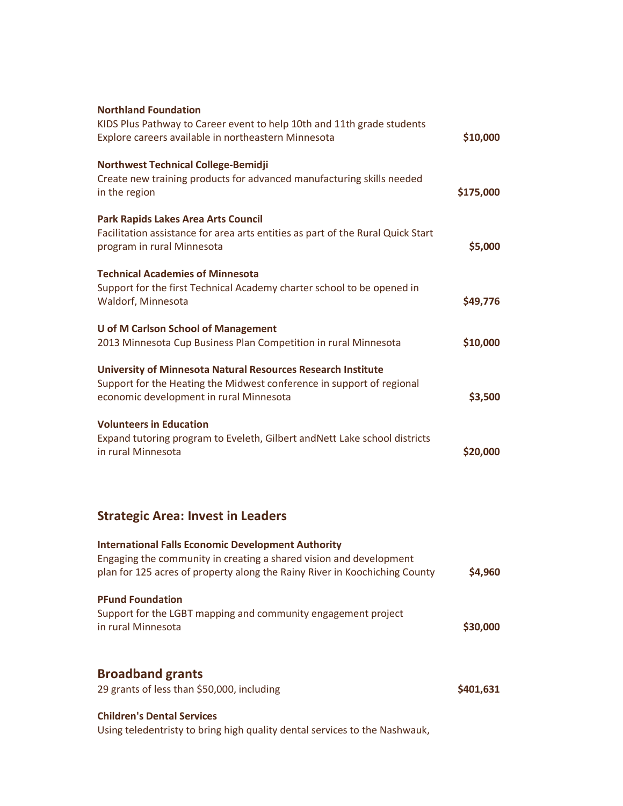| <b>Northland Foundation</b><br>KIDS Plus Pathway to Career event to help 10th and 11th grade students                                            |           |
|--------------------------------------------------------------------------------------------------------------------------------------------------|-----------|
| Explore careers available in northeastern Minnesota                                                                                              | \$10,000  |
| Northwest Technical College-Bemidji<br>Create new training products for advanced manufacturing skills needed                                     |           |
| in the region                                                                                                                                    | \$175,000 |
| <b>Park Rapids Lakes Area Arts Council</b>                                                                                                       |           |
| Facilitation assistance for area arts entities as part of the Rural Quick Start<br>program in rural Minnesota                                    | \$5,000   |
| <b>Technical Academies of Minnesota</b>                                                                                                          |           |
| Support for the first Technical Academy charter school to be opened in<br>Waldorf, Minnesota                                                     | \$49,776  |
| <b>U of M Carlson School of Management</b><br>2013 Minnesota Cup Business Plan Competition in rural Minnesota                                    | \$10,000  |
| University of Minnesota Natural Resources Research Institute                                                                                     |           |
| Support for the Heating the Midwest conference in support of regional<br>economic development in rural Minnesota                                 | \$3,500   |
| <b>Volunteers in Education</b>                                                                                                                   |           |
| Expand tutoring program to Eveleth, Gilbert and Nett Lake school districts<br>in rural Minnesota                                                 | \$20,000  |
|                                                                                                                                                  |           |
| <b>Strategic Area: Invest in Leaders</b>                                                                                                         |           |
| <b>International Falls Economic Development Authority</b>                                                                                        |           |
| Engaging the community in creating a shared vision and development<br>plan for 125 acres of property along the Rainy River in Koochiching County | \$4,960   |
| <b>PFund Foundation</b>                                                                                                                          |           |
| Support for the LGBT mapping and community engagement project<br>in rural Minnesota                                                              | \$30,000  |

## **Broadband grants**

29 grants of less than \$50,000, including **\$401,631** 

#### **Children's Dental Services**

Using teledentristy to bring high quality dental services to the Nashwauk,